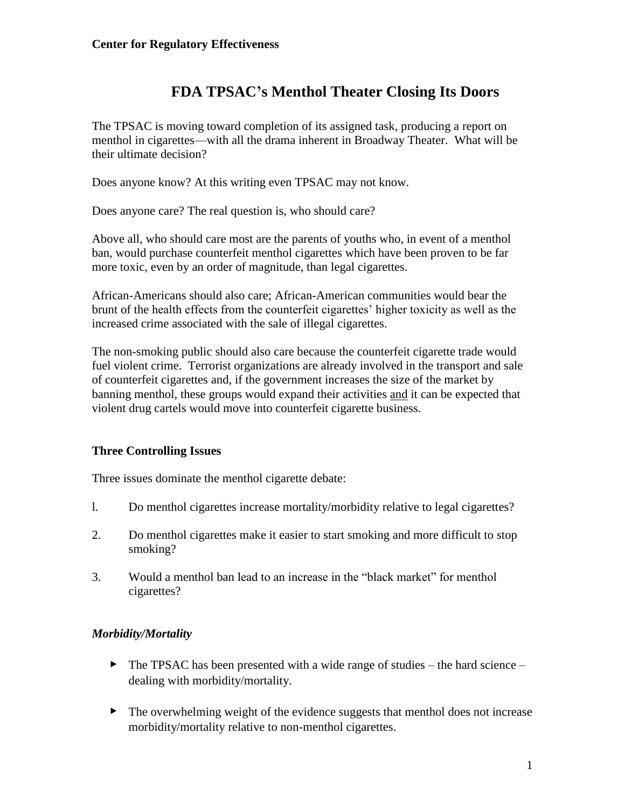# **FDA TPSAC's Menthol Theater Closing Its Doors**

The TPSAC is moving toward completion of its assigned task, producing a report on menthol in cigarettes—with all the drama inherent in Broadway Theater. What will be their ultimate decision?

Does anyone know? At this writing even TPSAC may not know.

Does anyone care? The real question is, who should care?

Above all, who should care most are the parents of youths who, in event of a menthol ban, would purchase counterfeit menthol cigarettes which have been proven to be far more toxic, even by an order of magnitude, than legal cigarettes.

African-Americans should also care; African-American communities would bear the brunt of the health effects from the counterfeit cigarettes' higher toxicity as well as the increased crime associated with the sale of illegal cigarettes.

The non-smoking public should also care because the counterfeit cigarette trade would fuel violent crime. Terrorist organizations are already involved in the transport and sale of counterfeit cigarettes and, if the government increases the size of the market by banning menthol, these groups would expand their activities and it can be expected that violent drug cartels would move into counterfeit cigarette business.

#### **Three Controlling Issues**

Three issues dominate the menthol cigarette debate:

- l. Do menthol cigarettes increase mortality/morbidity relative to legal cigarettes?
- 2. Do menthol cigarettes make it easier to start smoking and more difficult to stop smoking?
- 3. Would a menthol ban lead to an increase in the "black market" for menthol cigarettes?

## *Morbidity/Mortality*

- $\blacktriangleright$  The TPSAC has been presented with a wide range of studies the hard science dealing with morbidity/mortality.
- The overwhelming weight of the evidence suggests that menthol does not increase morbidity/mortality relative to non-menthol cigarettes.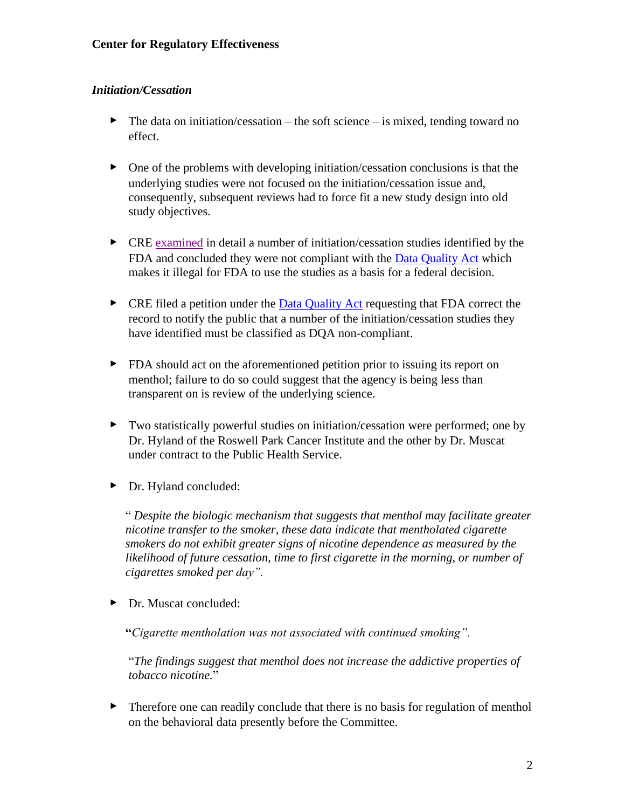# *Initiation/Cessation*

- $\blacktriangleright$  The data on initiation/cessation the soft science is mixed, tending toward no effect.
- ▸ One of the problems with developing initiation/cessation conclusions is that the underlying studies were not focused on the initiation/cessation issue and, consequently, subsequent reviews had to force fit a new study design into old study objectives.
- ▸ CRE [examined](http://www.thecre.com/scur/wp-content/uploads/2010/08/TPSAC-Okiuyemi-20031.pdf) in detail a number of initiation/cessation studies identified by the FDA and concluded they were not compliant with the [Data Quality Act](http://www.thecre.com/scur/wp-content/uploads/2010/12/TPSAC-Fagan-2.pdf) which makes it illegal for FDA to use the studies as a basis for a federal decision.
- ▸ CRE filed a petition under the [Data Quality Act](http://www.thecre.com/scur/?p=309) requesting that FDA correct the record to notify the public that a number of the initiation/cessation studies they have identified must be classified as DQA non-compliant.
- ▸ FDA should act on the aforementioned petition prior to issuing its report on menthol; failure to do so could suggest that the agency is being less than transparent on is review of the underlying science.
- ▸ Two statistically powerful studies on initiation/cessation were performed; one by Dr. Hyland of the Roswell Park Cancer Institute and the other by Dr. Muscat under contract to the Public Health Service.
- ▸ Dr. Hyland concluded:

― *Despite the biologic mechanism that suggests that menthol may facilitate greater nicotine transfer to the smoker, these data indicate that mentholated cigarette smokers do not exhibit greater signs of nicotine dependence as measured by the likelihood of future cessation, time to first cigarette in the morning, or number of cigarettes smoked per day".*

▸ Dr. Muscat concluded:

**"***Cigarette mentholation was not associated with continued smoking".*

―*The findings suggest that menthol does not increase the addictive properties of tobacco nicotine.*‖

• Therefore one can readily conclude that there is no basis for regulation of menthol on the behavioral data presently before the Committee.